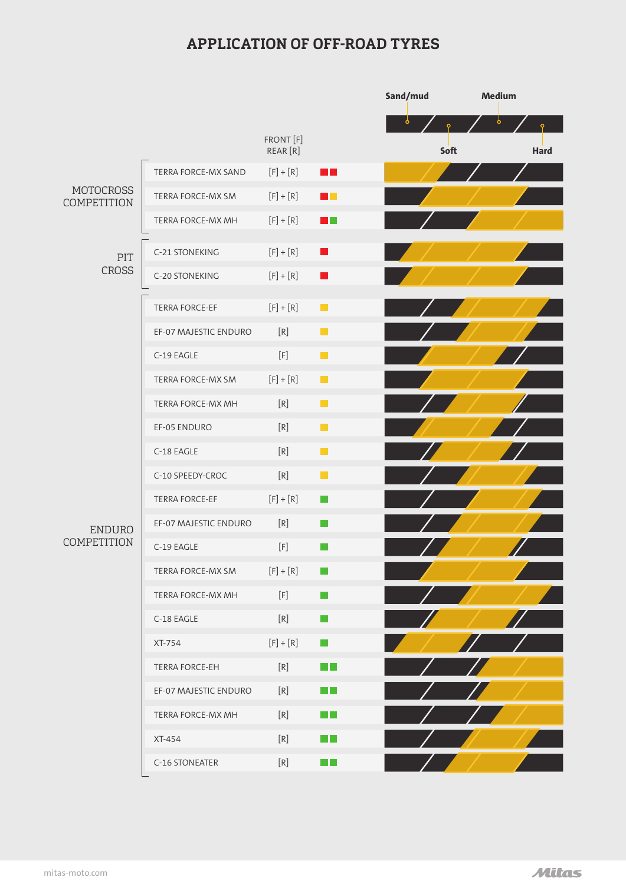## **APPLICATION OF OFF-ROAD TYRES**

|                                 |                       |                                                                                                                                                                                                                                                                                                                                                                                                                                                                                                                                                                                                                                                                                                                                                         |                             | Sand/mud<br>Medium |      |             |
|---------------------------------|-----------------------|---------------------------------------------------------------------------------------------------------------------------------------------------------------------------------------------------------------------------------------------------------------------------------------------------------------------------------------------------------------------------------------------------------------------------------------------------------------------------------------------------------------------------------------------------------------------------------------------------------------------------------------------------------------------------------------------------------------------------------------------------------|-----------------------------|--------------------|------|-------------|
|                                 |                       | FRONT [F]<br>REAR [R]                                                                                                                                                                                                                                                                                                                                                                                                                                                                                                                                                                                                                                                                                                                                   |                             | ბ                  | Soft | <b>Hard</b> |
| <b>MOTOCROSS</b><br>COMPETITION | TERRA FORCE-MX SAND   | $[F] + [R]$                                                                                                                                                                                                                                                                                                                                                                                                                                                                                                                                                                                                                                                                                                                                             | . .                         |                    |      |             |
|                                 | TERRA FORCE-MX SM     | $[F] + [R]$                                                                                                                                                                                                                                                                                                                                                                                                                                                                                                                                                                                                                                                                                                                                             | . .                         |                    |      |             |
|                                 | TERRA FORCE-MX MH     | $[F] + [R]$                                                                                                                                                                                                                                                                                                                                                                                                                                                                                                                                                                                                                                                                                                                                             | <b>The Co</b>               |                    |      |             |
| PIT<br><b>CROSS</b>             | C-21 STONEKING        | $[F] + [R]$                                                                                                                                                                                                                                                                                                                                                                                                                                                                                                                                                                                                                                                                                                                                             | $\blacksquare$              |                    |      |             |
|                                 | C-20 STONEKING        | $[F] + [R]$                                                                                                                                                                                                                                                                                                                                                                                                                                                                                                                                                                                                                                                                                                                                             | I I                         |                    |      |             |
| <b>ENDURO</b><br>COMPETITION    |                       |                                                                                                                                                                                                                                                                                                                                                                                                                                                                                                                                                                                                                                                                                                                                                         |                             |                    |      |             |
|                                 | TERRA FORCE-EF        | $[F] + [R]$                                                                                                                                                                                                                                                                                                                                                                                                                                                                                                                                                                                                                                                                                                                                             | H                           |                    |      |             |
|                                 | EF-07 MAJESTIC ENDURO | $[R]$                                                                                                                                                                                                                                                                                                                                                                                                                                                                                                                                                                                                                                                                                                                                                   | <b>Tale</b>                 |                    |      |             |
|                                 | C-19 EAGLE            | $[F] \centering% \includegraphics[width=0.9\textwidth]{Figures/PN1.png} \caption{The 3D (black) model with the same parameters (red) and (red) model with the same parameters (green) and (red) model with the same parameters (green) and (red) and (red) model with the same parameters (green) and (red) and (red) model with the same parameters (green) and (red) and (red) model with the same parameters (green) and (red) and (red) model with the same parameters (green) and (red) and (red) and (red) model with the same parameters (red) and (red) and (red) and (red) model with the same parameters (red) and (red) and (red) and (red) and (red) and (red) and (red) and (red) are (red). The 3D (red) model is the same set (red) and$ | H                           |                    |      |             |
|                                 | TERRA FORCE-MX SM     | $[F] + [R]$                                                                                                                                                                                                                                                                                                                                                                                                                                                                                                                                                                                                                                                                                                                                             | $\mathcal{L}_{\mathcal{A}}$ |                    |      |             |
|                                 | TERRA FORCE-MX MH     | $[R]$                                                                                                                                                                                                                                                                                                                                                                                                                                                                                                                                                                                                                                                                                                                                                   | $\blacksquare$              |                    |      |             |
|                                 | EF-05 ENDURO          | $[R]$                                                                                                                                                                                                                                                                                                                                                                                                                                                                                                                                                                                                                                                                                                                                                   | $\mathcal{L}_{\mathcal{A}}$ |                    |      |             |
|                                 | C-18 EAGLE            | $[R]$                                                                                                                                                                                                                                                                                                                                                                                                                                                                                                                                                                                                                                                                                                                                                   | П                           |                    |      |             |
|                                 | C-10 SPEEDY-CROC      | $[R]$                                                                                                                                                                                                                                                                                                                                                                                                                                                                                                                                                                                                                                                                                                                                                   | H                           |                    |      |             |
|                                 | TERRA FORCE-EF        | $[F] + [R]$                                                                                                                                                                                                                                                                                                                                                                                                                                                                                                                                                                                                                                                                                                                                             | I.                          |                    |      |             |
|                                 | EF-07 MAJESTIC ENDURO | $[R]$                                                                                                                                                                                                                                                                                                                                                                                                                                                                                                                                                                                                                                                                                                                                                   | i i                         |                    |      |             |
|                                 | C-19 EAGLE            |                                                                                                                                                                                                                                                                                                                                                                                                                                                                                                                                                                                                                                                                                                                                                         |                             |                    |      |             |
|                                 | TERRA FORCE-MX SM     | $[F] + [R]$                                                                                                                                                                                                                                                                                                                                                                                                                                                                                                                                                                                                                                                                                                                                             | l a                         |                    |      |             |
|                                 | TERRA FORCE-MX MH     | $[F] \centering% \includegraphics[width=0.9\columnwidth]{figures/fig_10.pdf} \includegraphics[width=0.9\columnwidth]{figures/fig_10.pdf} \includegraphics[width=0.9\columnwidth]{figures/fig_10.pdf} \includegraphics[width=0.9\columnwidth]{figures/fig_10.pdf} \includegraphics[width=0.9\columnwidth]{figures/fig_10.pdf} \includegraphics[width=0.9\columnwidth]{figures/fig_10.pdf} \includegraphics[width=0.9\columnwidth]{figures/fig_10.pdf} \includegraphics[width=0.9\columnwidth]{figures/fig_10.pdf} \includegraphics[width=0.9\columnwidth]{figures/fig_10.pdf} \includegraphics[width=0.9\columnwidth]{figures/fig_10.pdf} \includegraphics[$                                                                                             | H                           |                    |      |             |
|                                 | C-18 EAGLE            | [R]                                                                                                                                                                                                                                                                                                                                                                                                                                                                                                                                                                                                                                                                                                                                                     | H                           |                    |      |             |
|                                 | XT-754                | $[F] + [R]$                                                                                                                                                                                                                                                                                                                                                                                                                                                                                                                                                                                                                                                                                                                                             | H                           |                    |      |             |
|                                 | TERRA FORCE-EH        | [R]                                                                                                                                                                                                                                                                                                                                                                                                                                                                                                                                                                                                                                                                                                                                                     | $\Box$ $\Box$               |                    |      |             |
|                                 | EF-07 MAJESTIC ENDURO | [R]                                                                                                                                                                                                                                                                                                                                                                                                                                                                                                                                                                                                                                                                                                                                                     | $\Box$ $\Box$               |                    |      |             |
|                                 | TERRA FORCE-MX MH     | [R]                                                                                                                                                                                                                                                                                                                                                                                                                                                                                                                                                                                                                                                                                                                                                     | $\Box$ $\Box$               |                    |      |             |
|                                 | XT-454                | [R]                                                                                                                                                                                                                                                                                                                                                                                                                                                                                                                                                                                                                                                                                                                                                     | $\sim 10^{-1}$              |                    |      |             |
|                                 | C-16 STONEATER        | [R]                                                                                                                                                                                                                                                                                                                                                                                                                                                                                                                                                                                                                                                                                                                                                     | $\Box$ $\Box$               |                    |      |             |